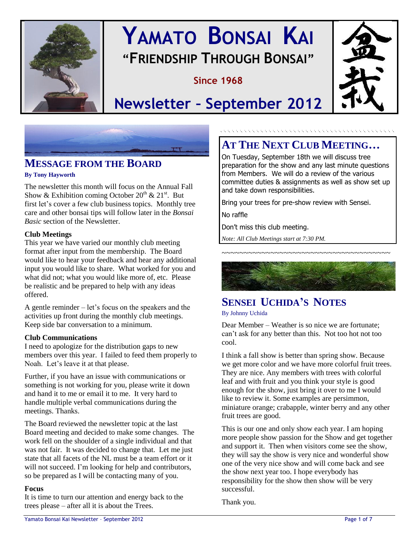

# **YAMATO BONSAI KAI "FRIENDSHIP THROUGH BONSAI"**

# **Since 1968**



**Newsletter – September 2012**



# **MESSAGE FROM THE BOARD**

#### **By Tony Hayworth**

The newsletter this month will focus on the Annual Fall Show & Exhibition coming October  $20^{th}$  &  $21^{st}$ . But first let's cover a few club business topics. Monthly tree care and other bonsai tips will follow later in the *Bonsai Basic* section of the Newsletter.

#### **Club Meetings**

This year we have varied our monthly club meeting format after input from the membership. The Board would like to hear your feedback and hear any additional input you would like to share. What worked for you and what did not; what you would like more of, etc. Please be realistic and be prepared to help with any ideas offered.

A gentle reminder – let's focus on the speakers and the activities up front during the monthly club meetings. Keep side bar conversation to a minimum.

#### **Club Communications**

I need to apologize for the distribution gaps to new members over this year. I failed to feed them properly to Noah. Let's leave it at that please.

Further, if you have an issue with communications or something is not working for you, please write it down and hand it to me or email it to me. It very hard to handle multiple verbal communications during the meetings. Thanks.

The Board reviewed the newsletter topic at the last Board meeting and decided to make some changes. The work fell on the shoulder of a single individual and that was not fair. It was decided to change that. Let me just state that all facets of the NL must be a team effort or it will not succeed. I'm looking for help and contributors, so be prepared as I will be contacting many of you.

#### **Focus**

It is time to turn our attention and energy back to the trees please – after all it is about the Trees.

# **AT THE NEXT CLUB MEETING…**

On Tuesday, September 18th we will discuss tree preparation for the show and any last minute questions from Members. We will do a review of the various committee duties & assignments as well as show set up and take down responsibilities.

Bring your trees for pre-show review with Sensei.

No raffle

Don't miss this club meeting.

*Note: All Club Meetings start at 7:30 PM.*



~~~~~~~~~~~~~~~~~~~~~~~~~~~~~~~~~~~~~

# **SENSEI UCHIDA'S NOTES**

By Johnny Uchida

Dear Member – Weather is so nice we are fortunate; can't ask for any better than this. Not too hot not too cool.

I think a fall show is better than spring show. Because we get more color and we have more colorful fruit trees. They are nice. Any members with trees with colorful leaf and with fruit and you think your style is good enough for the show, just bring it over to me I would like to review it. Some examples are persimmon, miniature orange; crabapple, winter berry and any other fruit trees are good.

This is our one and only show each year. I am hoping more people show passion for the Show and get together and support it. Then when visitors come see the show, they will say the show is very nice and wonderful show one of the very nice show and will come back and see the show next year too. I hope everybody has responsibility for the show then show will be very successful.

Thank you.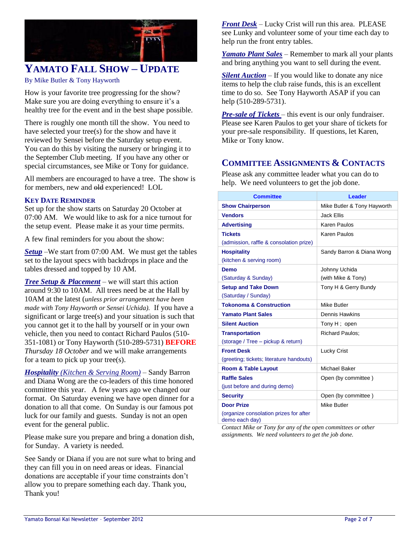

# **YAMATO FALL SHOW – UPDATE**

#### By Mike Butler & Tony Hayworth

How is your favorite tree progressing for the show? Make sure you are doing everything to ensure it's a healthy tree for the event and in the best shape possible.

There is roughly one month till the show. You need to have selected your tree(s) for the show and have it reviewed by Sensei before the Saturday setup event. You can do this by visiting the nursery or bringing it to the September Club meeting. If you have any other or special circumstances, see Mike or Tony for guidance.

All members are encouraged to have a tree. The show is for members, new and old experienced! LOL

#### **KEY DATE REMINDER**

Set up for the show starts on Saturday 20 October at 07:00 AM. We would like to ask for a nice turnout for the setup event. Please make it as your time permits.

A few final reminders for you about the show:

*Setup* –We start from 07:00 AM. We must get the tables set to the layout specs with backdrops in place and the tables dressed and topped by 10 AM.

*Tree Setup & Placement* – we will start this action around 9:30 to 10AM. All trees need be at the Hall by 10AM at the latest (*unless prior arrangement have been made with Tony Hayworth or Sensei Uchida).* If you have a significant or large tree(s) and your situation is such that you cannot get it to the hall by yourself or in your own vehicle, then you need to contact Richard Paulos (510- 351-1081) or Tony Hayworth (510-289-5731) **BEFORE** *Thursday 18 October* and we will make arrangements for a team to pick up your tree(s).

*Hospitality (Kitchen & Serving Room)* – Sandy Barron and Diana Wong are the co-leaders of this time honored committee this year. A few years ago we changed our format. On Saturday evening we have open dinner for a donation to all that come. On Sunday is our famous pot luck for our family and guests. Sunday is not an open event for the general public.

Please make sure you prepare and bring a donation dish, for Sunday. A variety is needed.

See Sandy or Diana if you are not sure what to bring and they can fill you in on need areas or ideas. Financial donations are acceptable if your time constraints don't allow you to prepare something each day. Thank you, Thank you!

*Front Desk* – Lucky Crist will run this area. PLEASE see Lunky and volunteer some of your time each day to help run the front entry tables.

*Yamato Plant Sales* – Remember to mark all your plants and bring anything you want to sell during the event.

*Silent Auction* – If you would like to donate any nice items to help the club raise funds, this is an excellent time to do so. See Tony Hayworth ASAP if you can help (510-289-5731).

*Pre-sale of Tickets* – this event is our only fundraiser. Please see Karen Paulos to get your share of tickets for your pre-sale responsibility. If questions, let Karen, Mike or Tony know.

### **COMMITTEE ASSIGNMENTS & CONTACTS**

Please ask any committee leader what you can do to help. We need volunteers to get the job done.

| <b>Committee</b>                                         | <b>Leader</b>               |
|----------------------------------------------------------|-----------------------------|
| <b>Show Chairperson</b>                                  | Mike Butler & Tony Hayworth |
| <b>Vendors</b>                                           | Jack Fllis                  |
| <b>Advertising</b>                                       | Karen Paulos                |
| <b>Tickets</b>                                           | Karen Paulos                |
| (admission, raffle & consolation prize)                  |                             |
| <b>Hospitality</b>                                       | Sandy Barron & Diana Wong   |
| (kitchen & serving room)                                 |                             |
| Demo                                                     | Johnny Uchida               |
| (Saturday & Sunday)                                      | (with Mike & Tony)          |
| <b>Setup and Take Down</b>                               | Tony H & Gerry Bundy        |
| (Saturday / Sunday)                                      |                             |
| <b>Tokonoma &amp; Construction</b>                       | Mike Butler                 |
| <b>Yamato Plant Sales</b>                                | Dennis Hawkins              |
| <b>Silent Auction</b>                                    | Tony H; open                |
| <b>Transportation</b>                                    | <b>Richard Paulos:</b>      |
| (storage / Tree - pickup & return)                       |                             |
| <b>Front Desk</b>                                        | <b>Lucky Crist</b>          |
| (greeting; tickets; literature handouts)                 |                             |
| <b>Room &amp; Table Layout</b>                           | Michael Baker               |
| <b>Raffle Sales</b>                                      | Open (by committee)         |
| (just before and during demo)                            |                             |
| <b>Security</b>                                          | Open (by committee)         |
| <b>Door Prize</b>                                        | Mike Butler                 |
| (organize consolation prizes for after<br>demo each day) |                             |

*Contact Mike or Tony for any of the open committees or other assignments. We need volunteers to get the job done.*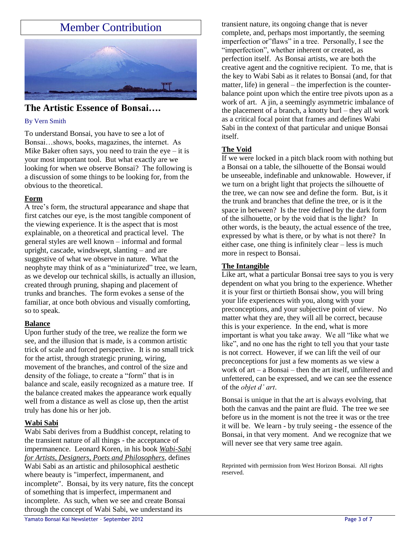# Member Contribution



#### **The Artistic Essence of Bonsai….**

#### By Vern Smith

To understand Bonsai, you have to see a lot of Bonsai…shows, books, magazines, the internet. As Mike Baker often says, you need to train the eye  $-$  it is your most important tool. But what exactly are we looking for when we observe Bonsai? The following is a discussion of some things to be looking for, from the obvious to the theoretical.

#### **Form**

A tree's form, the structural appearance and shape that first catches our eye, is the most tangible component of the viewing experience. It is the aspect that is most explainable, on a theoretical and practical level. The general styles are well known – informal and formal upright, cascade, windswept, slanting – and are suggestive of what we observe in nature. What the neophyte may think of as a "miniaturized" tree, we learn, as we develop our technical skills, is actually an illusion, created through pruning, shaping and placement of trunks and branches. The form evokes a sense of the familiar, at once both obvious and visually comforting, so to speak.

#### **Balance**

Upon further study of the tree, we realize the form we see, and the illusion that is made, is a common artistic trick of scale and forced perspective. It is no small trick for the artist, through strategic pruning, wiring, movement of the branches, and control of the size and density of the foliage, to create a "form" that is in balance and scale, easily recognized as a mature tree. If the balance created makes the appearance work equally well from a distance as well as close up, then the artist truly has done his or her job.

#### **Wabi Sabi**

Wabi Sabi derives from a Buddhist concept, relating to the transient nature of all things - the acceptance of impermanence. Leonard Koren, in his book *Wabi-Sabi for Artists, Designers, Poets and Philosophers,* defines Wabi Sabi as an artistic and philosophical aesthetic where beauty is "imperfect, impermanent, and incomplete". Bonsai, by its very nature, fits the concept of something that is imperfect, impermanent and incomplete. As such, when we see and create Bonsai through the concept of Wabi Sabi, we understand its

transient nature, its ongoing change that is never complete, and, perhaps most importantly, the seeming imperfection or"flaws" in a tree. Personally, I see the "imperfection", whether inherent or created, as perfection itself. As Bonsai artists, we are both the creative agent and the cognitive recipient. To me, that is the key to Wabi Sabi as it relates to Bonsai (and, for that matter, life) in general – the imperfection is the counterbalance point upon which the entire tree pivots upon as a work of art. A jin, a seemingly asymmetric imbalance of the placement of a branch, a knotty burl – they all work as a critical focal point that frames and defines Wabi Sabi in the context of that particular and unique Bonsai itself.

#### **The Void**

If we were locked in a pitch black room with nothing but a Bonsai on a table, the silhouette of the Bonsai would be unseeable, indefinable and unknowable. However, if we turn on a bright light that projects the silhouette of the tree, we can now see and define the form. But, is it the trunk and branches that define the tree, or is it the space in between? Is the tree defined by the dark form of the silhouette, or by the void that is the light? In other words, is the beauty, the actual essence of the tree, expressed by what is there, or by what is not there? In either case, one thing is infinitely clear – less is much more in respect to Bonsai.

#### **The Intangible**

Like art, what a particular Bonsai tree says to you is very dependent on what you bring to the experience. Whether it is your first or thirtieth Bonsai show, you will bring your life experiences with you, along with your preconceptions, and your subjective point of view. No matter what they are, they will all be correct, because this is your experience. In the end, what is more important is what you take away. We all "like what we like", and no one has the right to tell you that your taste is not correct. However, if we can lift the veil of our preconceptions for just a few moments as we view a work of art – a Bonsai – then the art itself, unfiltered and unfettered, can be expressed, and we can see the essence of the *objet d' art*.

Bonsai is unique in that the art is always evolving, that both the canvas and the paint are fluid. The tree we see before us in the moment is not the tree it was or the tree it will be. We learn - by truly seeing - the essence of the Bonsai, in that very moment. And we recognize that we will never see that very same tree again.

Reprinted with permission from West Horizon Bonsai. All rights reserved.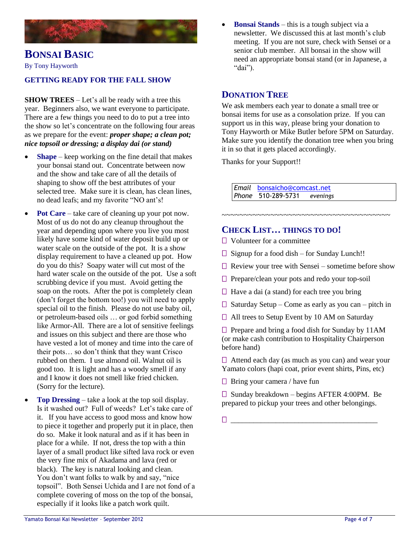

# **BONSAI BASIC**

By Tony Hayworth

#### **GETTING READY FOR THE FALL SHOW**

**SHOW TREES** – Let's all be ready with a tree this year. Beginners also, we want everyone to participate. There are a few things you need to do to put a tree into the show so let's concentrate on the following four areas as we prepare for the event: *proper shape; a clean pot; nice topsoil or dressing; a display dai (or stand)*

- **Shape** keep working on the fine detail that makes your bonsai stand out. Concentrate between now and the show and take care of all the details of shaping to show off the best attributes of your selected tree. Make sure it is clean, has clean lines, no dead leafs; and my favorite "NO ant's!
- **Pot Care** take care of cleaning up your pot now. Most of us do not do any cleanup throughout the year and depending upon where you live you most likely have some kind of water deposit build up or water scale on the outside of the pot. It is a show display requirement to have a cleaned up pot. How do you do this? Soapy water will cut most of the hard water scale on the outside of the pot. Use a soft scrubbing device if you must. Avoid getting the soap on the roots. After the pot is completely clean (don't forget the bottom too!) you will need to apply special oil to the finish. Please do not use baby oil, or petroleum-based oils … or god forbid something like Armor-All. There are a lot of sensitive feelings and issues on this subject and there are those who have vested a lot of money and time into the care of their pots… so don't think that they want Crisco rubbed on them. I use almond oil. Walnut oil is good too. It is light and has a woody smell if any and I know it does not smell like fried chicken. (Sorry for the lecture).
- **Top Dressing** take a look at the top soil display. Is it washed out? Full of weeds? Let's take care of it. If you have access to good moss and know how to piece it together and properly put it in place, then do so. Make it look natural and as if it has been in place for a while. If not, dress the top with a thin layer of a small product like sifted lava rock or even the very fine mix of Akadama and lava (red or black). The key is natural looking and clean. You don't want folks to walk by and say, "nice topsoil". Both Sensei Uchida and I are not fond of a complete covering of moss on the top of the bonsai, especially if it looks like a patch work quilt.

 **Bonsai Stands** – this is a tough subject via a newsletter. We discussed this at last month's club meeting. If you are not sure, check with Sensei or a senior club member. All bonsai in the show will need an appropriate bonsai stand (or in Japanese, a "dai").

#### **DONATION TREE**

We ask members each year to donate a small tree or bonsai items for use as a consolation prize. If you can support us in this way, please bring your donation to Tony Hayworth or Mike Butler before 5PM on Saturday. Make sure you identify the donation tree when you bring it in so that it gets placed accordingly.

Thanks for your Support!!

*Email* [bonsaicho@comcast.net](mailto:bonsaicho@comcast.net)  *Phone* 510-289-5731 *evenings*

#### **CHECK LIST… THINGS TO DO!**

- □ Volunteer for a committee
- $\Box$  Signup for a food dish for Sunday Lunch!!
- $\Box$  Review your tree with Sensei sometime before show

~~~~~~~~~~~~~~~~~~~~~~~~~~~~~~

- □ Prepare/clean your pots and redo your top-soil
- $\Box$  Have a dai (a stand) for each tree you bring
- $\Box$  Saturday Setup Come as early as you can pitch in
- □ All trees to Setup Event by 10 AM on Saturday

□ Prepare and bring a food dish for Sunday by 11AM (or make cash contribution to Hospitality Chairperson before hand)

 $\Box$  Attend each day (as much as you can) and wear your Yamato colors (hapi coat, prior event shirts, Pins, etc)

 $\Box$  Bring your camera / have fun

□ Sunday breakdown – begins AFTER 4:00PM. Be prepared to pickup your trees and other belongings.

\_\_\_\_\_\_\_\_\_\_\_\_\_\_\_\_\_\_\_\_\_\_\_\_\_\_\_\_\_\_\_\_\_\_\_\_\_\_\_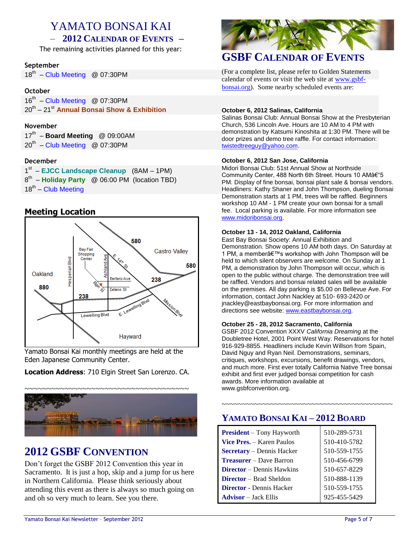# YAMATO BONSAI KAI

### – **2012 CALENDAR OF EVENTS –**

The remaining activities planned for this year:

#### **September**

18<sup>th</sup> - Club Meeting @ 07:30PM

#### **October**

 $16<sup>th</sup>$  – Club Meeting @ 07:30PM 20th – 21st **Annual Bonsai Show & Exhibition**

#### **November**

| 17th - Board Meeting @ 09:00AM     |  |
|------------------------------------|--|
| $20^{th}$ – Club Meeting @ 07:30PM |  |

#### **December**

1<sup>st</sup> – EJCC Landscape Cleanup (8AM – 1PM) 8 th – **Holiday Party** @ 06:00 PM (location TBD) 18<sup>th</sup> – Club Meeting

#### **Meeting Location**



Yamato Bonsai Kai monthly meetings are held at the Eden Japanese Community Center.

**Location Address**: 710 Elgin Street San Lorenzo. CA.



# **2012 GSBF CONVENTION**

Don't forget the GSBF 2012 Convention this year in Sacramento. It is just a hop, skip and a jump for us here in Northern California. Please think seriously about attending this event as there is always so much going on and oh so very much to learn. See you there.



### **GSBF CALENDAR OF EVENTS**

(For a complete list, please refer to Golden Statements calendar of events or visit the web site at [www.gsbf](http://www.gsbf-bonsai.org/)[bonsai.org\)](http://www.gsbf-bonsai.org/). Some nearby scheduled events are:

#### **October 6, 2012 Salinas, California**

Salinas Bonsai Club: Annual Bonsai Show at the Presbyterian Church, 536 Lincoln Ave. Hours are 10 AM to 4 PM with demonstration by Katsumi Kinoshita at 1:30 PM. There will be door prizes and demo tree raffle. For contact information: [twistedtreeguy@yahoo.com.](mailto:twistedtreeguy@yahoo.com)

#### **October 6, 2012 San Jose, California**

Midori Bonsai Club: 51st Annual Show at Northside Community Center, 488 North 6th Street. Hours 10 AM–5 PM. Display of fine bonsai, bonsai plant sale & bonsai vendors. Headliners: Kathy Shaner and John Thompson, dueling Bonsai Demonstration starts at 1 PM, trees will be raffled. Beginners workshop 10 AM - 1 PM create your own bonsai for a small fee. Local parking is available. For more information see [www.midoribonsai.org.](http://www.midoribonsai.org/)

#### **October 13 - 14, 2012 Oakland, California**

East Bay Bonsai Society: Annual Exhibition and Demonstration. Show opens 10 AM both days. On Saturday at 1 PM, a member's workshop with John Thompson will be held to which silent observers are welcome. On Sunday at 1 PM, a demonstration by John Thompson will occur, which is open to the public without charge. The demonstration tree will be raffled. Vendors and bonsai related sales will be available on the premises. All day parking is \$5.00 on Bellevue Ave. For information, contact John Nackley at 510- 693-2420 or jnackley@eastbaybonsai.org. For more information and directions see website[: www.eastbaybonsai.org.](http://www.eastbaybonsai.org/)

#### **October 25 - 28, 2012 Sacramento, California**

GSBF 2012 Convention XXXV *California Dreaming* at the Doubletree Hotel, 2001 Point West Way. Reservations for hotel 916-929-8855. Headliners include Kevin Willson from Spain, David Nguy and Ryan Neil. Demonstrations, seminars, critiques, workshops, excursions, benefit drawings, vendors, and much more. First ever totally California Native Tree bonsai exhibit and first ever judged bonsai competition for cash awards. More information available at www.gsbfconvention.org.

~~~~~~~~~~~~~~~~~~~~~~~~~~~~~~~~~~~~~~~~~~

### **YAMATO BONSAI KAI – 2012 BOARD**

| <b>President</b> – Tony Hayworth | 510-289-5731 |
|----------------------------------|--------------|
| <b>Vice Pres.</b> – Karen Paulos | 510-410-5782 |
| <b>Secretary</b> – Dennis Hacker | 510-559-1755 |
| <b>Treasurer</b> – Dave Barron   | 510-456-6799 |
| <b>Director</b> – Dennis Hawkins | 510-657-8229 |
| <b>Director</b> – Brad Sheldon   | 510-888-1139 |
| <b>Director</b> - Dennis Hacker  | 510-559-1755 |
| <b>Advisor</b> – Jack Ellis      | 925-455-5429 |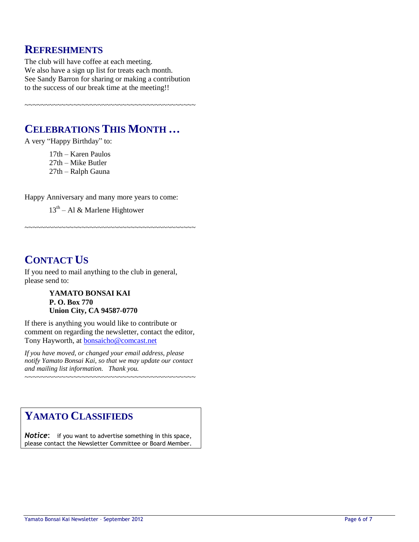## **REFRESHMENTS**

The club will have coffee at each meeting. We also have a sign up list for treats each month. See Sandy Barron for sharing or making a contribution to the success of our break time at the meeting!!

~~~~~~~~~~~~~~~~~~~~~~~~~~~~~~~~~~~~~~~~~~

# **CELEBRATIONS THIS MONTH …**

A very "Happy Birthday" to:

17th – Karen Paulos 27th – Mike Butler 27th – Ralph Gauna

Happy Anniversary and many more years to come:

~~~~~~~~~~~~~~~~~~~~~~~~~~~~~~~~~~~~~~~~~~

13<sup>th</sup> – Al & Marlene Hightower

# **CONTACT US**

If you need to mail anything to the club in general, please send to:

#### **YAMATO BONSAI KAI P. O. Box 770 Union City, CA 94587-0770**

If there is anything you would like to contribute or comment on regarding the newsletter, contact the editor, Tony Hayworth, at [bonsaicho@comcast.net](mailto:bonsaicho@comcast.net)

*If you have moved, or changed your email address, please notify Yamato Bonsai Kai, so that we may update our contact and mailing list information. Thank you.*

~~~~~~~~~~~~~~~~~~~~~~~~~~~~~~~~~~~~~~~~~~

# **YAMATO CLASSIFIEDS**

**Notice:** if you want to advertise something in this space, please contact the Newsletter Committee or Board Member.